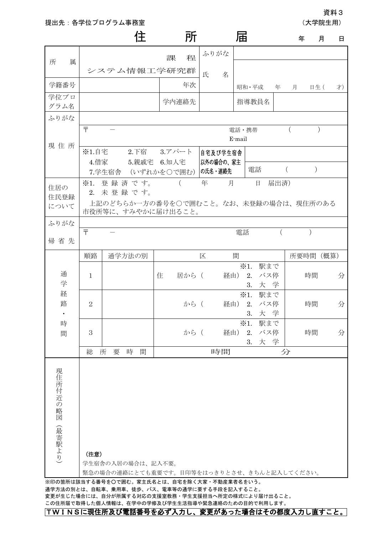提出先:各学位プログラム事務室 (大学の) おおや (大学院生用)

資料3

|                     |                                      |                                                                 | 住 |                                           | 所        |                                  | 届   |                                                       |          | 年             |           | 月<br>日 |
|---------------------|--------------------------------------|-----------------------------------------------------------------|---|-------------------------------------------|----------|----------------------------------|-----|-------------------------------------------------------|----------|---------------|-----------|--------|
| 属<br>所              |                                      | システム情報工学研究群                                                     |   | 課                                         | 程        | ふりがな<br>氏                        | 名   |                                                       |          |               |           |        |
| 学籍番号                |                                      |                                                                 |   |                                           | 年次       |                                  |     | 昭和・平成                                                 | 年        | 月             | 日生 (      | 才)     |
| 学位プロ<br>グラム名        |                                      |                                                                 |   |                                           | 学内連絡先    |                                  |     | 指導教員名                                                 |          |               |           |        |
| ふりがな                |                                      |                                                                 |   |                                           |          |                                  |     |                                                       |          |               |           |        |
| 現住所                 | $\overline{\tau}$<br>電話・携帯<br>E-mail |                                                                 |   |                                           |          |                                  |     |                                                       |          |               |           |        |
|                     | ※1.自宅<br>4.借家                        | 7.学生宿舎                                                          |   | 2.下宿 3.アパート<br>5.親戚宅 6.知人宅<br>(いずれかを○で囲む) |          | 自宅及び学生宿舎<br>以外の場合の、家主<br>の氏名・連絡先 |     | 電話                                                    | $\left($ |               | $\lambda$ |        |
| 住居の<br>住民登録         | $*1.$                                | 登録済です。<br>2. 未登録です。                                             |   |                                           | $\left($ | 年                                | 月   | 日                                                     | 届出済)     |               |           |        |
| について                |                                      | 上記のどちらか一方の番号を〇で囲むこと。なお、未登録の場合は、現住所のある<br>市役所等に、すみやかに届け出ること。     |   |                                           |          |                                  |     |                                                       |          |               |           |        |
| ふりがな                | $\overline{\tau}$                    |                                                                 |   |                                           |          |                                  | 電話  |                                                       | $\left($ | $\mathcal{E}$ |           |        |
| 帰省先                 |                                      |                                                                 |   |                                           |          |                                  |     |                                                       |          |               |           |        |
|                     | 順路                                   | 通学方法の別                                                          |   |                                           |          | 区                                | 間   |                                                       |          | 所要時間          |           | (概算)   |
| 通<br>学              | $\mathbf{1}$                         |                                                                 |   | 住                                         | 居から (    |                                  | 経由) | $\divideontimes 1$ .<br>駅まで<br>2.<br>バス停<br>大 学<br>3. |          |               | 時間        | 分      |
| 経<br>路<br>$\bullet$ | $\overline{2}$                       |                                                                 |   |                                           | から (     |                                  |     | $\divideontimes 1$ .<br>駅まで<br>経由) 2. バス停<br>3. 大学    |          |               | 時間        | 分      |
| 時<br>間              | 3                                    |                                                                 |   |                                           | から (     |                                  | 経由) | $*1.$<br>駅まで<br>2.<br>バス停<br>大 学<br>3.                |          |               | 時間        | 分      |
|                     | 総                                    | 時<br>所<br>要                                                     | 間 |                                           |          | 時間                               |     |                                                       | 分        |               |           |        |
| 現住所付近の略図<br>(最寄駅より) | (注意)                                 | 学生宿舎の入居の場合は、記入不要。<br>緊急の場合の連絡にとても重要です。目印等をはっきりとさせ、きちんと記入してください。 |   |                                           |          |                                  |     |                                                       |          |               |           |        |

 $\tilde{A}$ 学方法の別とは、自転車、乗用車、徒歩、バス、電車等の通学に要する手段を記入する 変更が生じた場合には、自分が所属する対応の支援室教務・学生支援担当へ所定の様式により届け出ること。 この住所届で取得した個人情報は、在学中の学修及び学生生活指導や緊急連絡のための目的で利用します。

TWINSに現住所及び電話番号を必ず入力し、変更があった場合はその都度入力し直すこと。